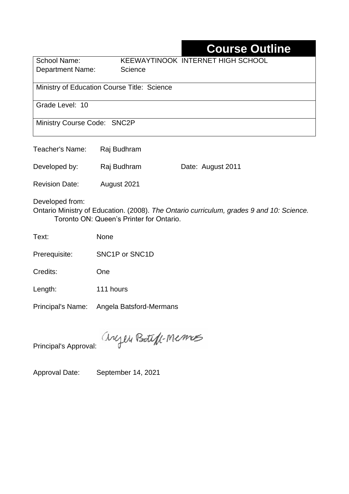## **Course Outline**

School Name: KEEWAYTINOOK INTERNET HIGH SCHOOL Department Name: Science Ministry of Education Course Title: Science Grade Level: 10 Ministry Course Code: SNC2P

| Teacher's Name:       | Raj Budhram |                   |
|-----------------------|-------------|-------------------|
| Developed by:         | Raj Budhram | Date: August 2011 |
| <b>Revision Date:</b> | August 2021 |                   |

Developed from:

Ontario Ministry of Education. (2008). *The Ontario curriculum, grades 9 and 10: Science.*  Toronto ON: Queen's Printer for Ontario.

Text: None

Prerequisite: SNC1P or SNC1D

Credits: One

Length: 111 hours

Principal's Name: Angela Batsford-Mermans

anyen Boteff-Memos

Principal's Approval:

Approval Date: September 14, 2021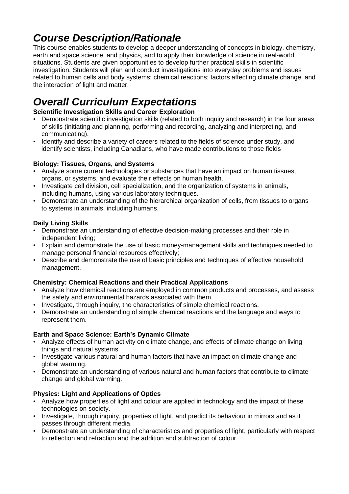## *Course Description/Rationale*

This course enables students to develop a deeper understanding of concepts in biology, chemistry, earth and space science, and physics, and to apply their knowledge of science in real-world situations. Students are given opportunities to develop further practical skills in scientific investigation. Students will plan and conduct investigations into everyday problems and issues related to human cells and body systems; chemical reactions; factors affecting climate change; and the interaction of light and matter.

# *Overall Curriculum Expectations*

### **Scientific Investigation Skills and Career Exploration**

- Demonstrate scientific investigation skills (related to both inquiry and research) in the four areas of skills (initiating and planning, performing and recording, analyzing and interpreting, and communicating).
- Identify and describe a variety of careers related to the fields of science under study, and identify scientists, including Canadians, who have made contributions to those fields

#### **Biology: Tissues, Organs, and Systems**

- Analyze some current technologies or substances that have an impact on human tissues, organs, or systems, and evaluate their effects on human health.
- Investigate cell division, cell specialization, and the organization of systems in animals, including humans, using various laboratory techniques.
- Demonstrate an understanding of the hierarchical organization of cells, from tissues to organs to systems in animals, including humans.

### **Daily Living Skills**

- Demonstrate an understanding of effective decision-making processes and their role in independent living;
- Explain and demonstrate the use of basic money-management skills and techniques needed to manage personal financial resources effectively;
- Describe and demonstrate the use of basic principles and techniques of effective household management.

#### **Chemistry: Chemical Reactions and their Practical Applications**

- Analyze how chemical reactions are employed in common products and processes, and assess the safety and environmental hazards associated with them.
- Investigate, through inquiry, the characteristics of simple chemical reactions.
- Demonstrate an understanding of simple chemical reactions and the language and ways to represent them.

#### **Earth and Space Science: Earth's Dynamic Climate**

- Analyze effects of human activity on climate change, and effects of climate change on living things and natural systems.
- Investigate various natural and human factors that have an impact on climate change and global warming.
- Demonstrate an understanding of various natural and human factors that contribute to climate change and global warming.

### **Physics: Light and Applications of Optics**

- Analyze how properties of light and colour are applied in technology and the impact of these technologies on society.
- Investigate, through inquiry, properties of light, and predict its behaviour in mirrors and as it passes through different media.
- Demonstrate an understanding of characteristics and properties of light, particularly with respect to reflection and refraction and the addition and subtraction of colour.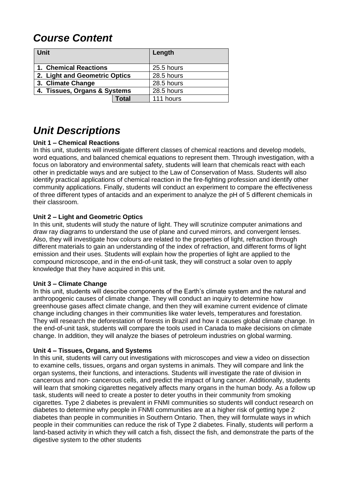### *Course Content*

| Unit                          |       | Length     |
|-------------------------------|-------|------------|
| 1. Chemical Reactions         |       | 25.5 hours |
| 2. Light and Geometric Optics |       | 28.5 hours |
| 3. Climate Change             |       | 28.5 hours |
| 4. Tissues, Organs & Systems  |       | 28.5 hours |
|                               | Total | 111 hours  |

### *Unit Descriptions*

#### **Unit 1 – Chemical Reactions**

In this unit, students will investigate different classes of chemical reactions and develop models, word equations, and balanced chemical equations to represent them. Through investigation, with a focus on laboratory and environmental safety, students will learn that chemicals react with each other in predictable ways and are subject to the Law of Conservation of Mass. Students will also identify practical applications of chemical reaction in the fire-fighting profession and identify other community applications. Finally, students will conduct an experiment to compare the effectiveness of three different types of antacids and an experiment to analyze the pH of 5 different chemicals in their classroom.

#### **Unit 2 – Light and Geometric Optics**

In this unit, students will study the nature of light. They will scrutinize computer animations and draw ray diagrams to understand the use of plane and curved mirrors, and convergent lenses. Also, they will investigate how colours are related to the properties of light, refraction through different materials to gain an understanding of the index of refraction, and different forms of light emission and their uses. Students will explain how the properties of light are applied to the compound microscope, and in the end-of-unit task, they will construct a solar oven to apply knowledge that they have acquired in this unit.

#### **Unit 3 – Climate Change**

In this unit, students will describe components of the Earth's climate system and the natural and anthropogenic causes of climate change. They will conduct an inquiry to determine how greenhouse gases affect climate change, and then they will examine current evidence of climate change including changes in their communities like water levels, temperatures and forestation. They will research the deforestation of forests in Brazil and how it causes global climate change. In the end-of-unit task, students will compare the tools used in Canada to make decisions on climate change. In addition, they will analyze the biases of petroleum industries on global warming.

#### **Unit 4 – Tissues, Organs, and Systems**

In this unit, students will carry out investigations with microscopes and view a video on dissection to examine cells, tissues, organs and organ systems in animals. They will compare and link the organ systems, their functions, and interactions. Students will investigate the rate of division in cancerous and non- cancerous cells, and predict the impact of lung cancer. Additionally, students will learn that smoking cigarettes negatively affects many organs in the human body. As a follow up task, students will need to create a poster to deter youths in their community from smoking cigarettes. Type 2 diabetes is prevalent in FNMI communities so students will conduct research on diabetes to determine why people in FNMI communities are at a higher risk of getting type 2 diabetes than people in communities in Southern Ontario. Then, they will formulate ways in which people in their communities can reduce the risk of Type 2 diabetes. Finally, students will perform a land-based activity in which they will catch a fish, dissect the fish, and demonstrate the parts of the digestive system to the other students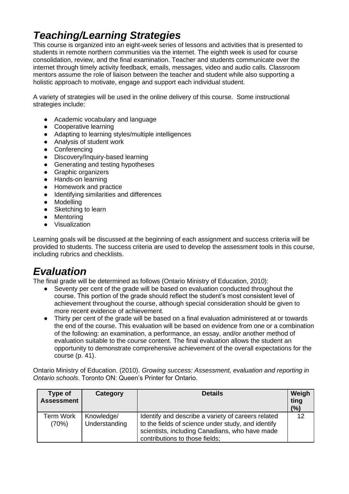### *Teaching/Learning Strategies*

This course is organized into an eight-week series of lessons and activities that is presented to students in remote northern communities via the internet. The eighth week is used for course consolidation, review, and the final examination. Teacher and students communicate over the internet through timely activity feedback, emails, messages, video and audio calls. Classroom mentors assume the role of liaison between the teacher and student while also supporting a holistic approach to motivate, engage and support each individual student.

A variety of strategies will be used in the online delivery of this course. Some instructional strategies include:

- Academic vocabulary and language
- Cooperative learning
- Adapting to learning styles/multiple intelligences
- Analysis of student work
- Conferencing
- Discovery/Inquiry-based learning
- Generating and testing hypotheses
- Graphic organizers
- Hands-on learning
- Homework and practice
- Identifying similarities and differences
- Modelling
- Sketching to learn
- Mentoring
- Visualization

Learning goals will be discussed at the beginning of each assignment and success criteria will be provided to students. The success criteria are used to develop the assessment tools in this course, including rubrics and checklists.

### *Evaluation*

The final grade will be determined as follows (Ontario Ministry of Education, 2010):

- Seventy per cent of the grade will be based on evaluation conducted throughout the course. This portion of the grade should reflect the student's most consistent level of achievement throughout the course, although special consideration should be given to more recent evidence of achievement.
- Thirty per cent of the grade will be based on a final evaluation administered at or towards the end of the course. This evaluation will be based on evidence from one or a combination of the following: an examination, a performance, an essay, and/or another method of evaluation suitable to the course content. The final evaluation allows the student an opportunity to demonstrate comprehensive achievement of the overall expectations for the course (p. 41).

Ontario Ministry of Education. (2010). *Growing success: Assessment, evaluation and reporting in Ontario schools*. Toronto ON: Queen's Printer for Ontario.

| Type of<br><b>Assessment</b> | Category                    | <b>Details</b>                                                                                                                                                                               | Weigh<br>ting<br>(%) |
|------------------------------|-----------------------------|----------------------------------------------------------------------------------------------------------------------------------------------------------------------------------------------|----------------------|
| Term Work<br>(70%)           | Knowledge/<br>Understanding | Identify and describe a variety of careers related<br>to the fields of science under study, and identify<br>scientists, including Canadians, who have made<br>contributions to those fields; | 12                   |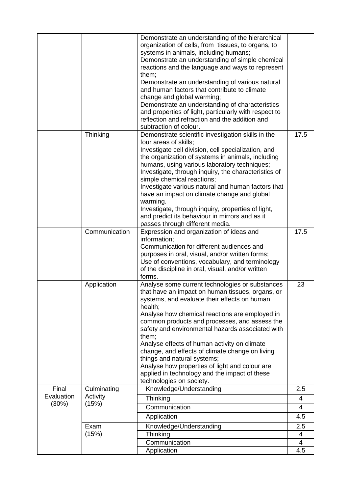|                     |                         | Demonstrate an understanding of the hierarchical<br>organization of cells, from tissues, to organs, to<br>systems in animals, including humans;<br>Demonstrate an understanding of simple chemical<br>reactions and the language and ways to represent<br>them;<br>Demonstrate an understanding of various natural<br>and human factors that contribute to climate<br>change and global warming;<br>Demonstrate an understanding of characteristics<br>and properties of light, particularly with respect to<br>reflection and refraction and the addition and<br>subtraction of colour.        |                |
|---------------------|-------------------------|-------------------------------------------------------------------------------------------------------------------------------------------------------------------------------------------------------------------------------------------------------------------------------------------------------------------------------------------------------------------------------------------------------------------------------------------------------------------------------------------------------------------------------------------------------------------------------------------------|----------------|
|                     | Thinking                | Demonstrate scientific investigation skills in the<br>four areas of skills;<br>Investigate cell division, cell specialization, and<br>the organization of systems in animals, including<br>humans, using various laboratory techniques;<br>Investigate, through inquiry, the characteristics of<br>simple chemical reactions;<br>Investigate various natural and human factors that<br>have an impact on climate change and global<br>warming.<br>Investigate, through inquiry, properties of light,<br>and predict its behaviour in mirrors and as it<br>passes through different media.       | 17.5           |
|                     | Communication           | Expression and organization of ideas and<br>information;<br>Communication for different audiences and<br>purposes in oral, visual, and/or written forms;<br>Use of conventions, vocabulary, and terminology<br>of the discipline in oral, visual, and/or written<br>forms.                                                                                                                                                                                                                                                                                                                      | 17.5           |
|                     | Application             | Analyse some current technologies or substances<br>that have an impact on human tissues, organs, or<br>systems, and evaluate their effects on human<br>health;<br>Analyse how chemical reactions are employed in<br>common products and processes, and assess the<br>safety and environmental hazards associated with<br>them;<br>Analyse effects of human activity on climate<br>change, and effects of climate change on living<br>things and natural systems;<br>Analyse how properties of light and colour are<br>applied in technology and the impact of these<br>technologies on society. | 23             |
| Final<br>Evaluation | Culminating<br>Activity | Knowledge/Understanding                                                                                                                                                                                                                                                                                                                                                                                                                                                                                                                                                                         | 2.5            |
| (30%)               | (15%)                   | Thinking<br>Communication                                                                                                                                                                                                                                                                                                                                                                                                                                                                                                                                                                       | 4<br>4         |
|                     |                         | Application                                                                                                                                                                                                                                                                                                                                                                                                                                                                                                                                                                                     | 4.5            |
|                     | Exam                    | Knowledge/Understanding                                                                                                                                                                                                                                                                                                                                                                                                                                                                                                                                                                         | 2.5            |
|                     | (15%)                   | Thinking                                                                                                                                                                                                                                                                                                                                                                                                                                                                                                                                                                                        | 4              |
|                     |                         | Communication                                                                                                                                                                                                                                                                                                                                                                                                                                                                                                                                                                                   | $\overline{4}$ |
|                     |                         | Application                                                                                                                                                                                                                                                                                                                                                                                                                                                                                                                                                                                     | 4.5            |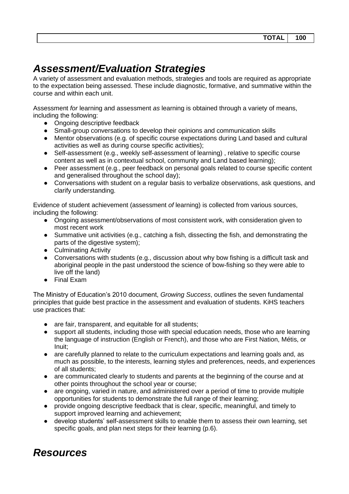### *Assessment/Evaluation Strategies*

A variety of assessment and evaluation methods, strategies and tools are required as appropriate to the expectation being assessed. These include diagnostic, formative, and summative within the course and within each unit.

Assessment *for* learning and assessment *as* learning is obtained through a variety of means, including the following:

- Ongoing descriptive feedback
- Small-group conversations to develop their opinions and communication skills
- Mentor observations (e.g. of specific course expectations during Land based and cultural activities as well as during course specific activities);
- Self-assessment (e.g., weekly self-assessment of learning), relative to specific course content as well as in contextual school, community and Land based learning);
- Peer assessment (e.g., peer feedback on personal goals related to course specific content and generalised throughout the school day);
- Conversations with student on a regular basis to verbalize observations, ask questions, and clarify understanding.

Evidence of student achievement (assessment *of* learning) is collected from various sources, including the following:

- Ongoing assessment/observations of most consistent work, with consideration given to most recent work
- Summative unit activities (e.g., catching a fish, dissecting the fish, and demonstrating the parts of the digestive system);
- Culminating Activity
- Conversations with students (e.g., discussion about why bow fishing is a difficult task and aboriginal people in the past understood the science of bow-fishing so they were able to live off the land)
- Final Exam

The Ministry of Education's 2010 document, *Growing Success*, outlines the seven fundamental principles that guide best practice in the assessment and evaluation of students. KiHS teachers use practices that:

- are fair, transparent, and equitable for all students;
- support all students, including those with special education needs, those who are learning the language of instruction (English or French), and those who are First Nation, Métis, or Inuit;
- are carefully planned to relate to the curriculum expectations and learning goals and, as much as possible, to the interests, learning styles and preferences, needs, and experiences of all students;
- are communicated clearly to students and parents at the beginning of the course and at other points throughout the school year or course;
- are ongoing, varied in nature, and administered over a period of time to provide multiple opportunities for students to demonstrate the full range of their learning;
- provide ongoing descriptive feedback that is clear, specific, meaningful, and timely to support improved learning and achievement;
- develop students' self-assessment skills to enable them to assess their own learning, set specific goals, and plan next steps for their learning (p.6).

### *Resources*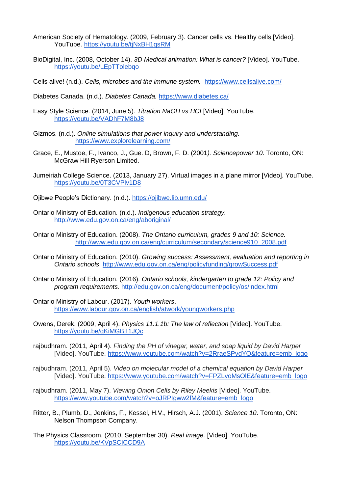- American Society of Hematology. (2009, February 3). Cancer cells vs. Healthy cells [Video]. YouTube. https://voutu.be/tiNxBH1qsRM
- BioDigital, Inc. (2008, October 14). *3D Medical animation: What is cancer?* [Video]. YouTube. <https://youtu.be/LEpTTolebqo>

Cells alive! (n.d.). *Cells, microbes and the immune system.* <https://www.cellsalive.com/>

- Diabetes Canada. (n.d.). *Diabetes Canada.* <https://www.diabetes.ca/>
- Easy Style Science. (2014, June 5). *Titration NaOH vs HCI* [Video]. YouTube. <https://youtu.be/VADhF7M8bJ8>
- Gizmos. (n.d.). *Online simulations that power inquiry and understanding.* <https://www.explorelearning.com/>
- Grace, E., Mustoe, F., Ivanco, J., Gue. D, Brown, F. D. (2001*). Sciencepower 10*. Toronto, ON: McGraw Hill Ryerson Limited.
- Jumeiriah College Science. (2013, January 27). Virtual images in a plane mirror [Video]. YouTube. <https://youtu.be/0T3CVPlv1D8>
- Ojibwe People's Dictionary. (n.d.). <https://ojibwe.lib.umn.edu/>
- Ontario Ministry of Education. (n.d.). *Indigenous education strategy.* <http://www.edu.gov.on.ca/eng/aboriginal/>
- Ontario Ministry of Education. (2008). *The Ontario curriculum, grades 9 and 10: Science.*  [http://www.edu.gov.on.ca/eng/curriculum/secondary/science910\\_2008.pdf](http://www.edu.gov.on.ca/eng/curriculum/secondary/science910_2008.pdf)
- Ontario Ministry of Education. (2010). *Growing success: Assessment, evaluation and reporting in Ontario schools*.<http://www.edu.gov.on.ca/eng/policyfunding/growSuccess.pdf>
- Ontario Ministry of Education. (2016). *Ontario schools, kindergarten to grade 12: Policy and program requirements.* <http://edu.gov.on.ca/eng/document/policy/os/index.html>
- Ontario Ministry of Labour. (2017). *Youth workers*. <https://www.labour.gov.on.ca/english/atwork/youngworkers.php>
- Owens, Derek. (2009, April 4). *Physics 11.1.1b: The law of reflection* [Video]. YouTube. <https://youtu.be/qKiMGBT1JQc>
- rajbudhram. (2011, April 4). *Finding the PH of vinegar, water, and soap liquid by David Harper*  [Video]. YouTube. [https://www.youtube.com/watch?v=2RraeSPvdYQ&feature=emb\\_logo](https://www.youtube.com/watch?v=2RraeSPvdYQ&feature=emb_logo)
- rajbudhram. (2011, April 5). *Video on molecular model of a chemical equation by David Harper*  [Video]. YouTube. [https://www.youtube.com/watch?v=FPZLvoMsOlE&feature=emb\\_logo](https://www.youtube.com/watch?v=FPZLvoMsOlE&feature=emb_logo)
- rajbudhram. (2011, May 7). *Viewing Onion Cells by Riley Meekis* [Video]. YouTube. [https://www.youtube.com/watch?v=oJRPIgww2fM&feature=emb\\_logo](https://www.youtube.com/watch?v=oJRPIgww2fM&feature=emb_logo)
- Ritter, B., Plumb, D., Jenkins, F., Kessel, H.V., Hirsch, A.J. (2001). *Science 10*. Toronto, ON: Nelson Thompson Company.
- The Physics Classroom. (2010, September 30). *Real image.* [Video]. YouTube. <https://youtu.be/KVpSCICCD9A>